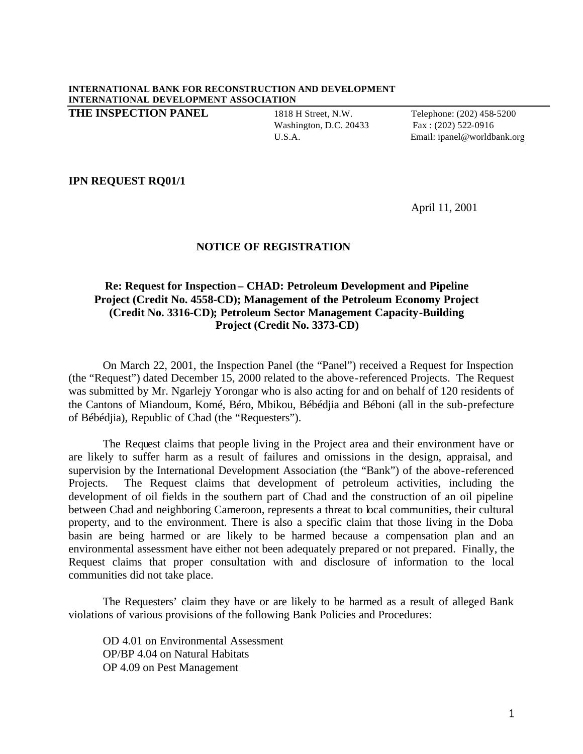## **INTERNATIONAL BANK FOR RECONSTRUCTION AND DEVELOPMENT INTERNATIONAL DEVELOPMENT ASSOCIATION**

**THE INSPECTION PANEL** 1818 H Street, N.W. Telephone: (202) 458-5200

Washington, D.C. 20433 Fax: (202) 522-0916

U.S.A. Email: ipanel@worldbank.org

## **IPN REQUEST RQ01/1**

April 11, 2001

## **NOTICE OF REGISTRATION**

## **Re: Request for Inspection– CHAD: Petroleum Development and Pipeline Project (Credit No. 4558-CD); Management of the Petroleum Economy Project (Credit No. 3316-CD); Petroleum Sector Management Capacity-Building Project (Credit No. 3373-CD)**

On March 22, 2001, the Inspection Panel (the "Panel") received a Request for Inspection (the "Request") dated December 15, 2000 related to the above-referenced Projects. The Request was submitted by Mr. Ngarlejy Yorongar who is also acting for and on behalf of 120 residents of the Cantons of Miandoum, Komé, Béro, Mbikou, Bébédjia and Béboni (all in the sub-prefecture of Bébédjia), Republic of Chad (the "Requesters").

The Request claims that people living in the Project area and their environment have or are likely to suffer harm as a result of failures and omissions in the design, appraisal, and supervision by the International Development Association (the "Bank") of the above-referenced Projects. The Request claims that development of petroleum activities, including the development of oil fields in the southern part of Chad and the construction of an oil pipeline between Chad and neighboring Cameroon, represents a threat to local communities, their cultural property, and to the environment. There is also a specific claim that those living in the Doba basin are being harmed or are likely to be harmed because a compensation plan and an environmental assessment have either not been adequately prepared or not prepared. Finally, the Request claims that proper consultation with and disclosure of information to the local communities did not take place.

The Requesters' claim they have or are likely to be harmed as a result of alleged Bank violations of various provisions of the following Bank Policies and Procedures:

OD 4.01 on Environmental Assessment OP/BP 4.04 on Natural Habitats OP 4.09 on Pest Management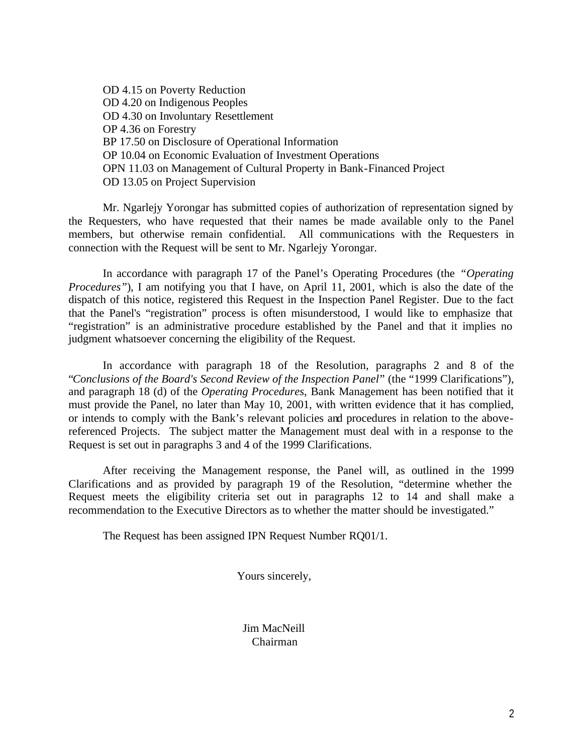OD 4.15 on Poverty Reduction OD 4.20 on Indigenous Peoples OD 4.30 on Involuntary Resettlement OP 4.36 on Forestry BP 17.50 on Disclosure of Operational Information OP 10.04 on Economic Evaluation of Investment Operations OPN 11.03 on Management of Cultural Property in Bank-Financed Project OD 13.05 on Project Supervision

Mr. Ngarlejy Yorongar has submitted copies of authorization of representation signed by the Requesters, who have requested that their names be made available only to the Panel members, but otherwise remain confidential. All communications with the Requesters in connection with the Request will be sent to Mr. Ngarlejy Yorongar.

In accordance with paragraph 17 of the Panel's Operating Procedures (the *"Operating Procedures"*), I am notifying you that I have, on April 11, 2001, which is also the date of the dispatch of this notice, registered this Request in the Inspection Panel Register. Due to the fact that the Panel's "registration" process is often misunderstood, I would like to emphasize that "registration" is an administrative procedure established by the Panel and that it implies no judgment whatsoever concerning the eligibility of the Request.

In accordance with paragraph 18 of the Resolution, paragraphs 2 and 8 of the "*Conclusions of the Board's Second Review of the Inspection Panel*" (the "1999 Clarifications"), and paragraph 18 (d) of the *Operating Procedures*, Bank Management has been notified that it must provide the Panel, no later than May 10, 2001, with written evidence that it has complied, or intends to comply with the Bank's relevant policies and procedures in relation to the abovereferenced Projects. The subject matter the Management must deal with in a response to the Request is set out in paragraphs 3 and 4 of the 1999 Clarifications.

After receiving the Management response, the Panel will, as outlined in the 1999 Clarifications and as provided by paragraph 19 of the Resolution, "determine whether the Request meets the eligibility criteria set out in paragraphs 12 to 14 and shall make a recommendation to the Executive Directors as to whether the matter should be investigated."

The Request has been assigned IPN Request Number RQ01/1.

Yours sincerely,

Jim MacNeill Chairman